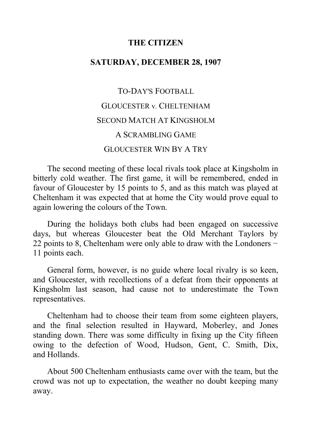## **THE CITIZEN**

# **SATURDAY, DECEMBER 28, 1907**

# TO-DAY'S FOOTBALL GLOUCESTER v*.* CHELTENHAM SECOND MATCH AT KINGSHOLM A SCRAMBLING GAME GLOUCESTER WIN BY A TRY

The second meeting of these local rivals took place at Kingsholm in bitterly cold weather. The first game, it will be remembered, ended in favour of Gloucester by 15 points to 5, and as this match was played at Cheltenham it was expected that at home the City would prove equal to again lowering the colours of the Town.

During the holidays both clubs had been engaged on successive days, but whereas Gloucester beat the Old Merchant Taylors by 22 points to 8, Cheltenham were only able to draw with the Londoners − 11 points each.

General form, however, is no guide where local rivalry is so keen, and Gloucester, with recollections of a defeat from their opponents at Kingsholm last season, had cause not to underestimate the Town representatives.

Cheltenham had to choose their team from some eighteen players, and the final selection resulted in Hayward, Moberley, and Jones standing down. There was some difficulty in fixing up the City fifteen owing to the defection of Wood, Hudson, Gent, C. Smith, Dix, and Hollands.

About 500 Cheltenham enthusiasts came over with the team, but the crowd was not up to expectation, the weather no doubt keeping many away.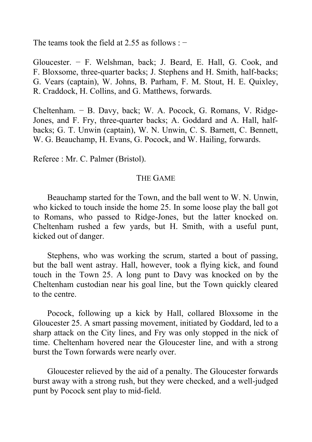The teams took the field at 2.55 as follows :  $-$ 

Gloucester. − F. Welshman, back; J. Beard, E. Hall, G. Cook, and F. Bloxsome, three-quarter backs; J. Stephens and H. Smith, half-backs; G. Vears (captain), W. Johns, B. Parham, F. M. Stout, H. E. Quixley, R. Craddock, H. Collins, and G. Matthews, forwards.

Cheltenham. − B. Davy, back; W. A. Pocock, G. Romans, V. Ridge-Jones, and F. Fry, three-quarter backs; A. Goddard and A. Hall, halfbacks; G. T. Unwin (captain), W. N. Unwin, C. S. Barnett, C. Bennett, W. G. Beauchamp, H. Evans, G. Pocock, and W. Hailing, forwards.

Referee : Mr. C. Palmer (Bristol).

#### THE GAME

Beauchamp started for the Town, and the ball went to W. N. Unwin, who kicked to touch inside the home 25. In some loose play the ball got to Romans, who passed to Ridge-Jones, but the latter knocked on. Cheltenham rushed a few yards, but H. Smith, with a useful punt, kicked out of danger.

Stephens, who was working the scrum, started a bout of passing, but the ball went astray. Hall, however, took a flying kick, and found touch in the Town 25. A long punt to Davy was knocked on by the Cheltenham custodian near his goal line, but the Town quickly cleared to the centre.

Pocock, following up a kick by Hall, collared Bloxsome in the Gloucester 25. A smart passing movement, initiated by Goddard, led to a sharp attack on the City lines, and Fry was only stopped in the nick of time. Cheltenham hovered near the Gloucester line, and with a strong burst the Town forwards were nearly over.

Gloucester relieved by the aid of a penalty. The Gloucester forwards burst away with a strong rush, but they were checked, and a well-judged punt by Pocock sent play to mid-field.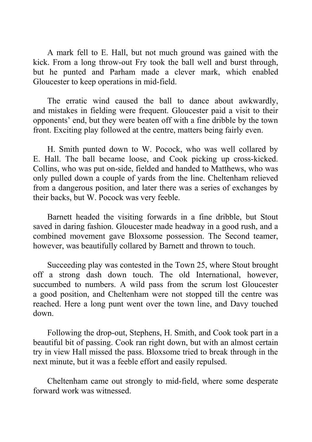A mark fell to E. Hall, but not much ground was gained with the kick. From a long throw-out Fry took the ball well and burst through, but he punted and Parham made a clever mark, which enabled Gloucester to keep operations in mid-field.

The erratic wind caused the ball to dance about awkwardly, and mistakes in fielding were frequent. Gloucester paid a visit to their opponents' end, but they were beaten off with a fine dribble by the town front. Exciting play followed at the centre, matters being fairly even.

H. Smith punted down to W. Pocock, who was well collared by E. Hall. The ball became loose, and Cook picking up cross-kicked. Collins, who was put on-side, fielded and handed to Matthews, who was only pulled down a couple of yards from the line. Cheltenham relieved from a dangerous position, and later there was a series of exchanges by their backs, but W. Pocock was very feeble.

Barnett headed the visiting forwards in a fine dribble, but Stout saved in daring fashion. Gloucester made headway in a good rush, and a combined movement gave Bloxsome possession. The Second teamer, however, was beautifully collared by Barnett and thrown to touch.

Succeeding play was contested in the Town 25, where Stout brought off a strong dash down touch. The old International, however, succumbed to numbers. A wild pass from the scrum lost Gloucester a good position, and Cheltenham were not stopped till the centre was reached. Here a long punt went over the town line, and Davy touched down.

Following the drop-out, Stephens, H. Smith, and Cook took part in a beautiful bit of passing. Cook ran right down, but with an almost certain try in view Hall missed the pass. Bloxsome tried to break through in the next minute, but it was a feeble effort and easily repulsed.

Cheltenham came out strongly to mid-field, where some desperate forward work was witnessed.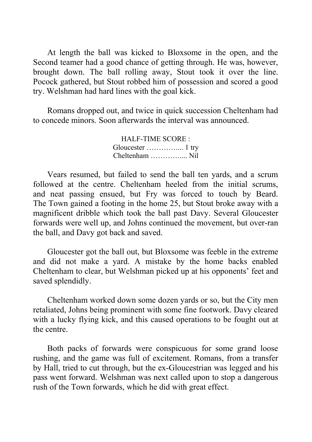At length the ball was kicked to Bloxsome in the open, and the Second teamer had a good chance of getting through. He was, however, brought down. The ball rolling away, Stout took it over the line. Pocock gathered, but Stout robbed him of possession and scored a good try. Welshman had hard lines with the goal kick.

Romans dropped out, and twice in quick succession Cheltenham had to concede minors. Soon afterwards the interval was announced.

> HALF-TIME SCORE : Gloucester ………….... 1 try Cheltenham ………….... Nil

Vears resumed, but failed to send the ball ten yards, and a scrum followed at the centre. Cheltenham heeled from the initial scrums, and neat passing ensued, but Fry was forced to touch by Beard. The Town gained a footing in the home 25, but Stout broke away with a magnificent dribble which took the ball past Davy. Several Gloucester forwards were well up, and Johns continued the movement, but over-ran the ball, and Davy got back and saved.

Gloucester got the ball out, but Bloxsome was feeble in the extreme and did not make a yard. A mistake by the home backs enabled Cheltenham to clear, but Welshman picked up at his opponents' feet and saved splendidly.

Cheltenham worked down some dozen yards or so, but the City men retaliated, Johns being prominent with some fine footwork. Davy cleared with a lucky flying kick, and this caused operations to be fought out at the centre.

Both packs of forwards were conspicuous for some grand loose rushing, and the game was full of excitement. Romans, from a transfer by Hall, tried to cut through, but the ex-Gloucestrian was legged and his pass went forward. Welshman was next called upon to stop a dangerous rush of the Town forwards, which he did with great effect.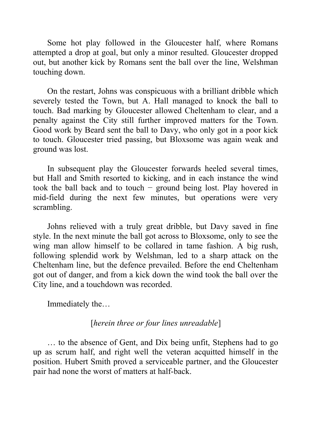Some hot play followed in the Gloucester half, where Romans attempted a drop at goal, but only a minor resulted. Gloucester dropped out, but another kick by Romans sent the ball over the line, Welshman touching down.

On the restart, Johns was conspicuous with a brilliant dribble which severely tested the Town, but A. Hall managed to knock the ball to touch. Bad marking by Gloucester allowed Cheltenham to clear, and a penalty against the City still further improved matters for the Town. Good work by Beard sent the ball to Davy, who only got in a poor kick to touch. Gloucester tried passing, but Bloxsome was again weak and ground was lost.

In subsequent play the Gloucester forwards heeled several times, but Hall and Smith resorted to kicking, and in each instance the wind took the ball back and to touch − ground being lost. Play hovered in mid-field during the next few minutes, but operations were very scrambling.

Johns relieved with a truly great dribble, but Davy saved in fine style. In the next minute the ball got across to Bloxsome, only to see the wing man allow himself to be collared in tame fashion. A big rush, following splendid work by Welshman, led to a sharp attack on the Cheltenham line, but the defence prevailed. Before the end Cheltenham got out of danger, and from a kick down the wind took the ball over the City line, and a touchdown was recorded.

Immediately the…

## [*herein three or four lines unreadable*]

… to the absence of Gent, and Dix being unfit, Stephens had to go up as scrum half, and right well the veteran acquitted himself in the position. Hubert Smith proved a serviceable partner, and the Gloucester pair had none the worst of matters at half-back.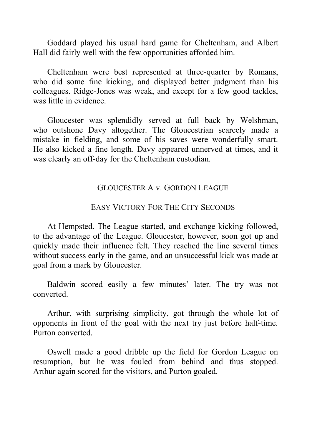Goddard played his usual hard game for Cheltenham, and Albert Hall did fairly well with the few opportunities afforded him.

Cheltenham were best represented at three-quarter by Romans, who did some fine kicking, and displayed better judgment than his colleagues. Ridge-Jones was weak, and except for a few good tackles, was little in evidence.

Gloucester was splendidly served at full back by Welshman, who outshone Davy altogether. The Gloucestrian scarcely made a mistake in fielding, and some of his saves were wonderfully smart. He also kicked a fine length. Davy appeared unnerved at times, and it was clearly an off-day for the Cheltenham custodian.

#### GLOUCESTER A v. GORDON LEAGUE

## EASY VICTORY FOR THE CITY SECONDS

At Hempsted. The League started, and exchange kicking followed, to the advantage of the League. Gloucester, however, soon got up and quickly made their influence felt. They reached the line several times without success early in the game, and an unsuccessful kick was made at goal from a mark by Gloucester.

Baldwin scored easily a few minutes' later. The try was not converted.

Arthur, with surprising simplicity, got through the whole lot of opponents in front of the goal with the next try just before half-time. Purton converted.

Oswell made a good dribble up the field for Gordon League on resumption, but he was fouled from behind and thus stopped. Arthur again scored for the visitors, and Purton goaled.